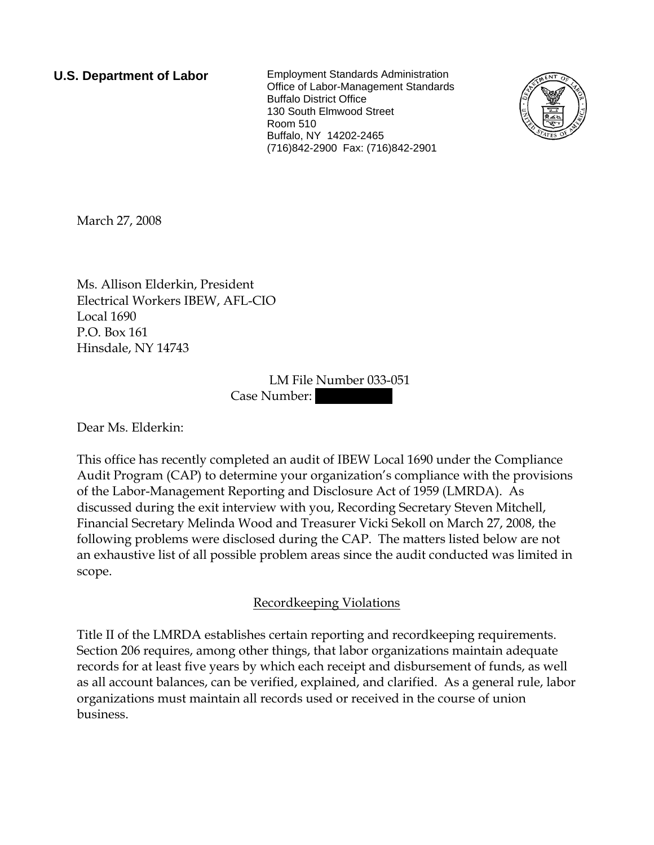**U.S. Department of Labor** Employment Standards Administration Office of Labor-Management Standards Buffalo District Office 130 South Elmwood Street Room 510 Buffalo, NY 14202-2465 (716)842-2900 Fax: (716)842-2901



March 27, 2008

Ms. Allison Elderkin, President Electrical Workers IBEW, AFL-CIO Local 1690 P.O. Box 161 Hinsdale, NY 14743

> LM File Number 033-051 Case Number:

Dear Ms. Elderkin:

This office has recently completed an audit of IBEW Local 1690 under the Compliance Audit Program (CAP) to determine your organization's compliance with the provisions of the Labor-Management Reporting and Disclosure Act of 1959 (LMRDA). As discussed during the exit interview with you, Recording Secretary Steven Mitchell, Financial Secretary Melinda Wood and Treasurer Vicki Sekoll on March 27, 2008, the following problems were disclosed during the CAP. The matters listed below are not an exhaustive list of all possible problem areas since the audit conducted was limited in scope.

## Recordkeeping Violations

Title II of the LMRDA establishes certain reporting and recordkeeping requirements. Section 206 requires, among other things, that labor organizations maintain adequate records for at least five years by which each receipt and disbursement of funds, as well as all account balances, can be verified, explained, and clarified. As a general rule, labor organizations must maintain all records used or received in the course of union business.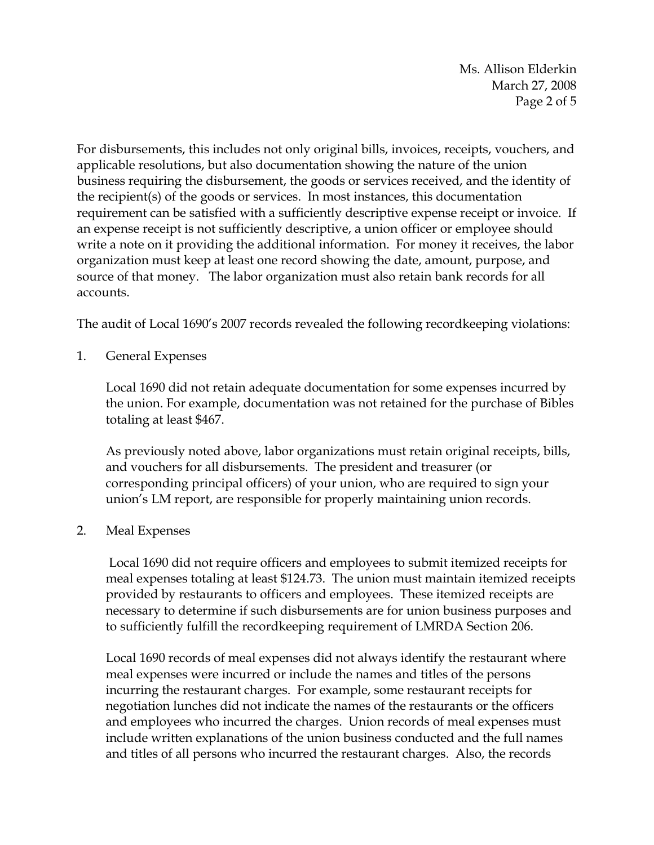Ms. Allison Elderkin March 27, 2008 Page 2 of 5

For disbursements, this includes not only original bills, invoices, receipts, vouchers, and applicable resolutions, but also documentation showing the nature of the union business requiring the disbursement, the goods or services received, and the identity of the recipient(s) of the goods or services. In most instances, this documentation requirement can be satisfied with a sufficiently descriptive expense receipt or invoice. If an expense receipt is not sufficiently descriptive, a union officer or employee should write a note on it providing the additional information. For money it receives, the labor organization must keep at least one record showing the date, amount, purpose, and source of that money. The labor organization must also retain bank records for all accounts.

The audit of Local 1690's 2007 records revealed the following recordkeeping violations:

1. General Expenses

Local 1690 did not retain adequate documentation for some expenses incurred by the union. For example, documentation was not retained for the purchase of Bibles totaling at least \$467.

As previously noted above, labor organizations must retain original receipts, bills, and vouchers for all disbursements. The president and treasurer (or corresponding principal officers) of your union, who are required to sign your union's LM report, are responsible for properly maintaining union records.

2. Meal Expenses

 Local 1690 did not require officers and employees to submit itemized receipts for meal expenses totaling at least \$124.73. The union must maintain itemized receipts provided by restaurants to officers and employees. These itemized receipts are necessary to determine if such disbursements are for union business purposes and to sufficiently fulfill the recordkeeping requirement of LMRDA Section 206.

Local 1690 records of meal expenses did not always identify the restaurant where meal expenses were incurred or include the names and titles of the persons incurring the restaurant charges. For example, some restaurant receipts for negotiation lunches did not indicate the names of the restaurants or the officers and employees who incurred the charges. Union records of meal expenses must include written explanations of the union business conducted and the full names and titles of all persons who incurred the restaurant charges. Also, the records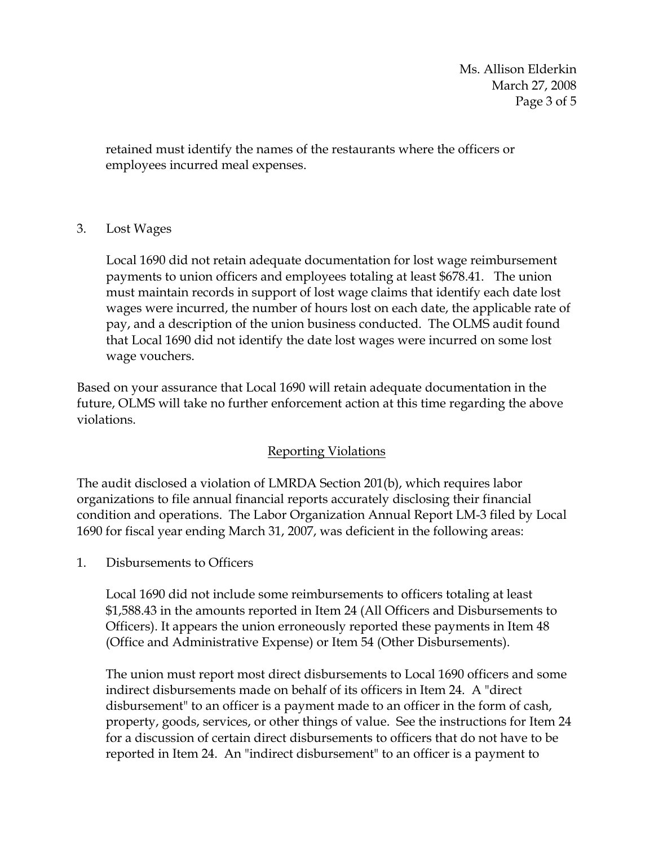Ms. Allison Elderkin March 27, 2008 Page 3 of 5

retained must identify the names of the restaurants where the officers or employees incurred meal expenses.

## 3. Lost Wages

Local 1690 did not retain adequate documentation for lost wage reimbursement payments to union officers and employees totaling at least \$678.41. The union must maintain records in support of lost wage claims that identify each date lost wages were incurred, the number of hours lost on each date, the applicable rate of pay, and a description of the union business conducted. The OLMS audit found that Local 1690 did not identify the date lost wages were incurred on some lost wage vouchers.

Based on your assurance that Local 1690 will retain adequate documentation in the future, OLMS will take no further enforcement action at this time regarding the above violations.

## Reporting Violations

The audit disclosed a violation of LMRDA Section 201(b), which requires labor organizations to file annual financial reports accurately disclosing their financial condition and operations. The Labor Organization Annual Report LM-3 filed by Local 1690 for fiscal year ending March 31, 2007, was deficient in the following areas:

1. Disbursements to Officers

Local 1690 did not include some reimbursements to officers totaling at least \$1,588.43 in the amounts reported in Item 24 (All Officers and Disbursements to Officers). It appears the union erroneously reported these payments in Item 48 (Office and Administrative Expense) or Item 54 (Other Disbursements).

The union must report most direct disbursements to Local 1690 officers and some indirect disbursements made on behalf of its officers in Item 24. A "direct disbursement" to an officer is a payment made to an officer in the form of cash, property, goods, services, or other things of value. See the instructions for Item 24 for a discussion of certain direct disbursements to officers that do not have to be reported in Item 24. An "indirect disbursement" to an officer is a payment to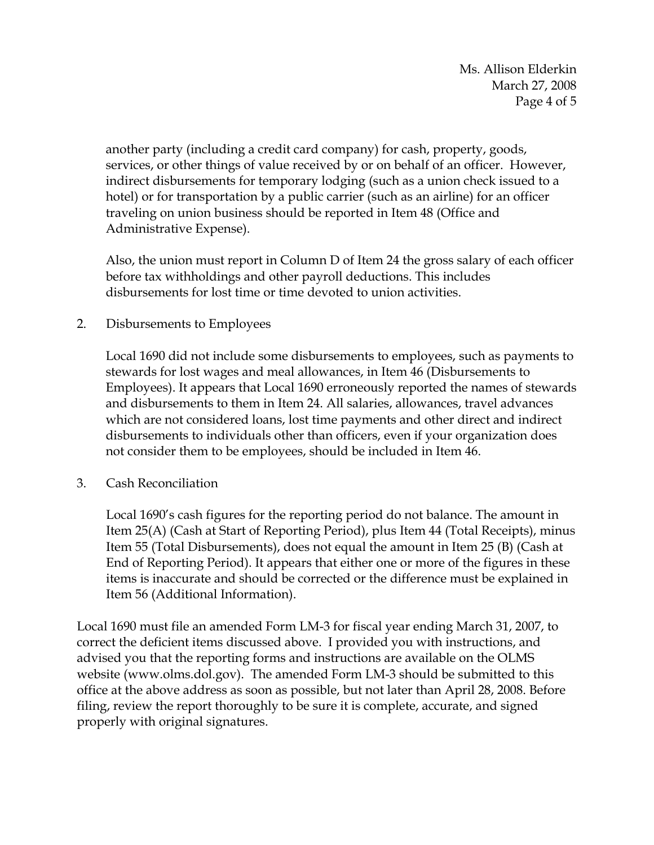Ms. Allison Elderkin March 27, 2008 Page 4 of 5

another party (including a credit card company) for cash, property, goods, services, or other things of value received by or on behalf of an officer. However, indirect disbursements for temporary lodging (such as a union check issued to a hotel) or for transportation by a public carrier (such as an airline) for an officer traveling on union business should be reported in Item 48 (Office and Administrative Expense).

Also, the union must report in Column D of Item 24 the gross salary of each officer before tax withholdings and other payroll deductions. This includes disbursements for lost time or time devoted to union activities.

2. Disbursements to Employees

Local 1690 did not include some disbursements to employees, such as payments to stewards for lost wages and meal allowances, in Item 46 (Disbursements to Employees). It appears that Local 1690 erroneously reported the names of stewards and disbursements to them in Item 24. All salaries, allowances, travel advances which are not considered loans, lost time payments and other direct and indirect disbursements to individuals other than officers, even if your organization does not consider them to be employees, should be included in Item 46.

3. Cash Reconciliation

Local 1690's cash figures for the reporting period do not balance. The amount in Item 25(A) (Cash at Start of Reporting Period), plus Item 44 (Total Receipts), minus Item 55 (Total Disbursements), does not equal the amount in Item 25 (B) (Cash at End of Reporting Period). It appears that either one or more of the figures in these items is inaccurate and should be corrected or the difference must be explained in Item 56 (Additional Information).

Local 1690 must file an amended Form LM-3 for fiscal year ending March 31, 2007, to correct the deficient items discussed above. I provided you with instructions, and advised you that the reporting forms and instructions are available on the OLMS website (www.olms.dol.gov). The amended Form LM-3 should be submitted to this office at the above address as soon as possible, but not later than April 28, 2008. Before filing, review the report thoroughly to be sure it is complete, accurate, and signed properly with original signatures.